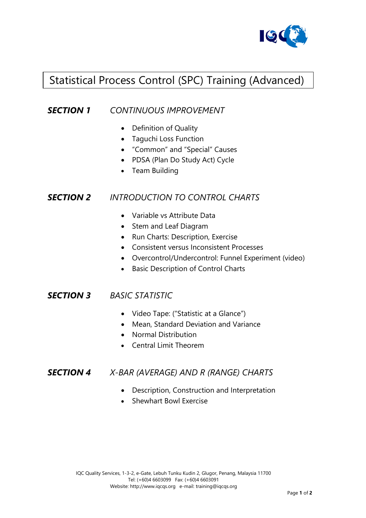

# Statistical Process Control (SPC) Training (Advanced)

### *SECTION 1 CONTINUOUS IMPROVEMENT*

- Definition of Quality
- Taguchi Loss Function
- "Common" and "Special" Causes
- PDSA (Plan Do Study Act) Cycle
- Team Building

#### *SECTION 2 INTRODUCTION TO CONTROL CHARTS*

- Variable vs Attribute Data
- Stem and Leaf Diagram
- Run Charts: Description, Exercise
- Consistent versus Inconsistent Processes
- Overcontrol/Undercontrol: Funnel Experiment (video)
- Basic Description of Control Charts

#### *SECTION 3 BASIC STATISTIC*

- Video Tape: ("Statistic at a Glance")
- Mean, Standard Deviation and Variance
- Normal Distribution
- Central Limit Theorem

#### *SECTION 4 X-BAR (AVERAGE) AND R (RANGE) CHARTS*

- Description, Construction and Interpretation
- Shewhart Bowl Exercise